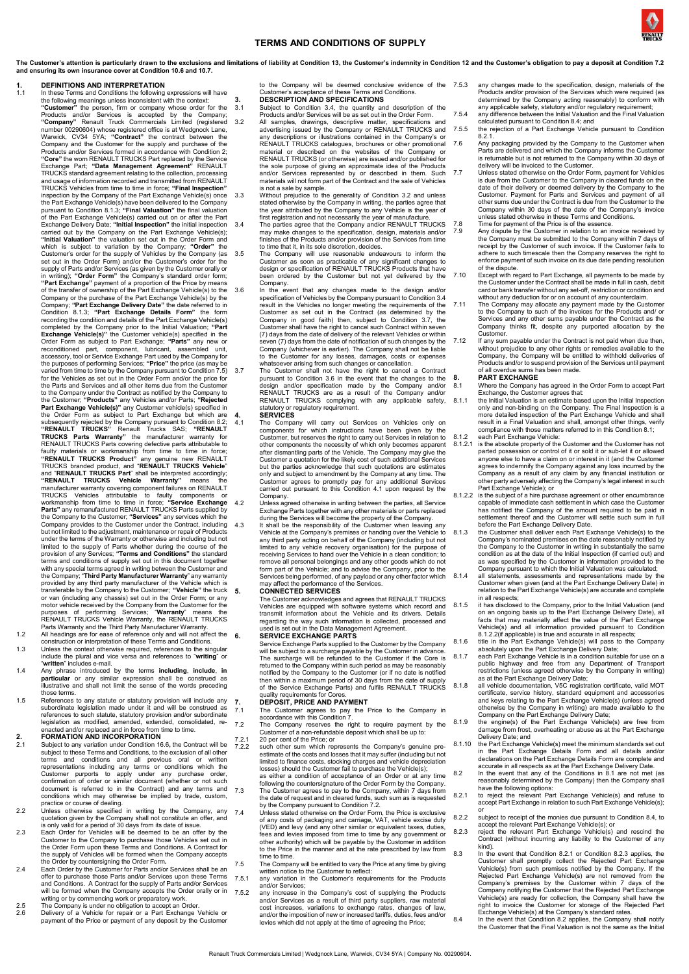### **TERMS AND CONDITIONS OF SUPPLY**

The Customer's attention is particularly drawn to the exclusions and limitations of liability at Conditio[n 13,](#page-1-0) the Customer's indemnity in Conditio[n 12](#page-1-1) and the Customer's obligation to pay a deposit at Conditio[n 7.2](#page-0-0) **and ensuring its own insurance cover at Conditio[n 10.6](#page-1-2) an[d 10.7.](#page-1-3)**

- **1. DEFINITIONS AND INTERPRETATION** 1.1 In these Terms and Conditions the following expressions will have the following meanings unless inconsistent with the context: **"Customer"** the person, firm or company whose order for the<br>Products and/or Services is accepted by the Company Products and/or Services is accepted by the Company<br>
"Company" Renault Truck Commercials Limited (registered<br>
number 00290604) whose registered office is at Wedgnock Lane,<br>
Warwick, CV34 5YA; "Contract" the contract betwee **"Core"** the worn RENAULT TRUCKS Part replaced by the Service Exchange Part; **"Data Management Agreement"** RENAULT TRUCKS standard agreement relating to the collection, processing<br>and usage of information recorded and transmitted from RENAULT<br>TRUCKS Vehicles from time to time in force; "**Final Inspection**"<br>inspection by the Company of the Part Exchange Vehicle(s) have been delivered to the Company<br>pursuant to Conditio[n 8.1.3;](#page-0-2) "Final Valuation" the final valuation<br>of the Part Exchange Vehicle(s) carried out on or after the Part<br>Exchange Delivery Date; "i of the transfer of ownership of the Part Exchange Vehicle(s) to the<br>Company, or the purchase of the Part Exchange Vehicle(s) by the<br>Company; "**Part Exchange Delivery Date**" the date referred to in<br>Condition [8.1.3;](#page-0-2) "**Part E** completed by the Company prior to the Initial Valuation; **"Part Exchange Vehicle(s)"** the Customer vehicle(s) specified in the Order Form as subject to Part Exchange; **"Parts"** any new or reconditioned part, component, lubricant, assembled unit, consecutional part, accessory, tool or Service Exchange Part used by the Company for the purposes of performing Services; "Price" the price (as may be varied from t Part Exchange Vehicle(s)" any Customer vehicle(s) specified in<br>the Order Form as subject to Part Exchange but which are<br>subsequently rejected by the Company pursuant to Condition 8.2;<br>"RENAULT TRUCKS" Renault Trucks SAS; " TRUCKS Vehicles attributable to faulty components or<br>workmanship from time to time in force; "Service Exchange<br>Parts" any remanufactured RENAULT TRUCKS Parts supplied by<br>the Company to the Customer; "Services" any services Company provides to the Customer under the Contract, including<br>but not limited to the adjustment, maintenance or repair of Products<br>under the terms of the Warranty or otherwise and including but not limited to the supply of Parts whether during the course of the sprovision of any Services; "Terms and Conditions" the standard terms and conditions of supply set out in this document together with any special terms agreed
- 
- construction or interpretation of these Terms and Conditions. 1.3 Unless the context otherwise required, references to the singular include the plural and vice versa and references to "**writing**" or "**written**" includes e-mail.
- 1.4 Any phrase introduced by the terms **including**, **include**, **in particular** or any similar expression shall be construed as illustrative and shall not limit the sense of the words preceding those terms.
- 1.5 References to any statute or statutory provision will include any subordinate legislation made under it and will be construed as<br>references to such statute, statutory provision and/or subordinate<br>legislation as modified, amended, extended, consolidated, reenacted and/or replaced and in force from time to time.<br>FORMATION AND INCORPORATION

- <span id="page-0-1"></span>2.1 FORMATION AND INCORPORATION<br>subject to any variation under Conditio[n 16.6](#page-1-4), the Contract will be<br>subject to these Terms and Conditions, to the exclusion of all other<br>terms and conditions and all previous oral or written
- conditions which may otherwise be implied by trade, custom,<br>practice or course of dealing.<br>2.2 Unless otherwise specified in writing by the Company, any<br>quotation given by the Company shall not constitute an offer, and<br>is
- 2.3 Each Order for Vehicles will be deemed to be an offer by the Customer to the Company to purchase those Vehicles set out in<br>the Order Form upon these Terms and Conditions. A Contract for<br>the supply of Vehicles will be f
- will be formed when the Company accepts the Order orally or in<br>writing or by commencing work or preparatory work.<br>2.5 The Company is under no obligation to accept an Order.<br>2.6 Delivery of a Vehicle for repair or
- 
- payment of the Price or payment of any deposit by the Customer

to the Company will be deemed conclusive evidence of the 7.5.3 Customer's acceptance of these Terms and Conditions.<br>DESCRIPTION AND SPECIFICATIONS.

- **3. DESCRIPTION AND SPECIFICATIONS** 3.1 Subject to Condition [3.4,](#page-0-5) the quantity and description of the
- 
- <span id="page-0-6"></span>Products and/or Services will be as set out in the Order Form.<br>All samples, drawings, descriptive matter, specifications and<br>advertising issued by the Company or RENAULT TRUCKS and<br>any descriptions or illustrations contain and/or Services represented by or described in them. Such materials will not form part of the Contract and the sale of Vehicles
- is not a sale by sample. 3.3 Without prejudice to the generality of Condition [3.2](#page-0-6) and unless stated otherwise by the Company in writing, the parties agree that<br>the year attributed by the Company to any Vehicle is the year of<br>first registration and not necessarily the year of manufacture.<br>The parties agree that the
	- finishes of the Products and/or provision of the Services from time to time that it, in its sole discretion, decides.
- <span id="page-0-5"></span>3.5 The Company will use reasonable endeavours to inform the Customer as soon as practicable of any significant changes to design or specification of RENAULT TRUCKS Products that have been ordered by the Customer but not y
- <span id="page-0-8"></span>Company. The event that any changes made to the design and/or<br>specification of Vehicles by the Company pursuant to Condition [3.4](#page-0-5)<br>result in the Vehicles no longer meeting the requirements of the<br>Customer as set out in the seven (7) days from the date of notification of such changes by the Company (whichever is earlier). The Company shall not be liable to the Customer for any losses, damages, costs or expenses whatsoever arising from such ch
- <span id="page-0-7"></span>pursuant to Condition [3.6](#page-0-8) in the event that the changes to the<br>design and/or specification made by the Company and/or<br>RENAULT TRUCKS are as a result of the Company and/or<br>RENAULT TRUCKS complying with any applicable safety statutory or regulatory requirement.
- <span id="page-0-9"></span>
- 4. **SERVICES**<br>4.1 The Company will carry out Services on Vehicles only on 4.1 The Company will carry out Services on Vehicles only on<br>components for which instructions have been given by the<br>Customer, but reserves the right to carry out Services in relation to<br>other components the necessity of w Customer agrees to promptly pay for any additional Services carried out pursuant to this Condition [4.1](#page-0-9) upon request by the Company.<br>Unless agr
	-
- 4.2 Unless agreed otherwise in writing between the parties, all Service<br>Exchange Parts together with any other materials or parts erplaced<br>during the Services will become the property of the Company.<br>4.3 It shall be the re limited to any vehicle recovery organisation) for the purpose of receiving Services to hand over the Vehicle in a clean condition; to remove all personal belongings and any other goods which do not form part of the Vehicle; and to advise the Company, prior to the Services being performed, of any payload or any other factor which may affect the performance of the Services. **5. CONNECTED SERVICES**

The Customer acknowledges and agrees that RENAULT TRUCKS Vehicles are equipped with software systems which record and transmit information about the Vehicle and its drivers. Details regarding the way such information is collected, processed and used is set out in the Data Management Agreement.

### **6. SERVICE EXCHANGE PARTS**

Service Exchange Parts supplied to the Customer by the Company<br>will be subject to a surcharge payable by the Customer in advance.<br>The surcharge will be refunded to the Customer if the Core is<br>returned to the Company within notified by the Company to the Customer (or if no date is notified then within a maximum period of 30 days from the date of supply of the Service Exchange Parts) and fulfils RENAULT TRUCKS quality requirements for Cores. **7. DEPOSIT, PRICE AND PAYMENT**

- <span id="page-0-10"></span>7.1 The Customer agrees to pay the Price to the Company in accordance with this Conditio[n 7.](#page-0-10) 7.2 The Company reserves the right to require payment by the
	-
- <span id="page-0-0"></span>Customer of a non-refundable deposit which shall be up to:<br>7.2.1 20 per cent of the Price; or<br>7.2.2 such other sum which represents the Company's genuine pre-<br>estimate of the costs and losses that it may suffer (including limited to finance costs, stocking charges and vehicle depreciation<br>losses) should the Customer fail to purchase the Vehicle(s);<br>as either a condition of acceptance of an Order or at any time<br>following the countersignature
- 7.4 Unless stated otherwise on the Order Form, the Price is exclusive
- of any costs of packaging and carriage, VAT, vehicle excise duty<br>(VED) and levy (and any other similar or equivalent taxes, duties,<br>fees and levies imposed from time to time by any government or<br>other authority) which will to the Price in the manner and at the rate prescribed by law from the time.<br>The to time. 7.5 The Company will be entitled to vary the Price at any time by giving
	- written notice to the Customer to reflect
- <span id="page-0-3"></span>7.5.1 any variation in the Customer's requirements for the Products and/or Services; 7.5.2 any increase in the Company's cost of supplying the Products
	- and/or Services as a result of third party suppliers, raw material<br>cost increases, variations to exchange rates, changes of law,<br>and/or the imposition of new or increased tariffs, duties, fees and/or<br>levies which did not a
- any changes made to the specification, design, materials of the<br>Products and/or provision of the Services which were required (as Products and/or provision of the Services which were required (as<br>determined by the Company acting reasonably) to conform with<br>any applicable safety, statutory and/or regulatory requirement;<br>7.5.4 any difference between th
- calculated pursuant to Conditio[n 8.4;](#page-0-11) and 7.5.5 the rejection of a Part Exchange Vehicle pursuant to Condition  $8.2.1$
- 7.6 Any packaging provided by the Company to the Customer when Parts are delivered and which the Company informs the Customer<br>is returnable but is not returned to the Company within 30 days of<br>delivery will be invoiced to the Customer.<br>7.7 Unless stated otherwise on the Order Form, pa
- date of their delivery or deemed delivery by the Company to the Customer. Payment for Parts and Services and payment of all other sums due under the Contract is due from the Customer to the Company within 30 days of the date of the Company's invoice<br>unless stated otherwise in these Terms and Conditions.<br>T.8 Time for payment of the Price is of the essence.<br>T.9 Any dispute by the Customer in relation to an invo
	- the Company must be submitted to the Company within 7 days of<br>receipt by the Customer of such invoice. If the Customer fails to<br>adhere to such timescale then the Company reserves the right to<br>enforce payment of such invoic
- of the dispute.<br>7.10 Except with regard to Part Exchange, all payments to be made by<br>the Customer under the Contract shall be made in full in cash, debit<br>card or bank transfer without any set-off, restriction or condition without any deduction for or on account of any counterclaim.
- 7.11 The Company may allocate any payment made by the Customer to the Company to such of the invoices for the Products and/ or Services and any other sums payable under the Contract as the Company thinks fit, despite any purported allocation by the
- Customer. 7.12 If any sum payable under the Contract is not paid when due then, without prejudice to any other rights or remedies available to the Company, the Company will be entitled to withhold deliveries of Products and/or to suspend provision of the Services until payment of all overdue sums has been made.

- <span id="page-0-13"></span>**8. PART EXCHANGE**<br>8.1 Where the Company has agreed in the Order Form to accept Part<br>Exchange, the Customer agrees that:<br>8.1.1 the Initial Valuation is an estimate based upon the Initial Inspection
	- only and non-binding on the Company. The Final Inspection is a<br>more detailed inspection of the Part Exchange Vehicle and shall<br>result in a Final Valuation and shall, amongst other things, verify<br>compliance with those matte
- 8.1.2 each Part Exchange Vehicle: 8.1.2.1 is the absolute property of the Customer and the Customer has not parted possession or control of it or sold it or sub-let it or allowed anyone else to have a claim on or interest in it (and the Customer agrees to indemnify the Company against any loss incurred by the<br>Company as a result of any claim by any financial institution or<br>other party adversely affecting the Company's legal interest in such<br>Part Exchange Vehicle);
- <span id="page-0-14"></span>8.1.2.2 is the subject of a hire purchase agreement or other encumbrance<br>capable of immediate cash settlement in which case the Customer<br>has notified the Company of the amount required to be paid in<br>settlement thereof and
- <span id="page-0-2"></span>before the Part Exchange Delivery Date. 8.1.3 the Customer shall deliver each Part Exchange Vehicle(s) to the Company's nominated premises on the date reasonably notified by the Company to the Customer in writing in substantially the same condition as at the date of the Initial Inspection (if carried out) and as was specified by the Customer in information provided to the Company pursuant to w
- 8.1.4 all statements, assessments and representations made by the Customer when given (and at the Part Exchange Delivery Date) in relation to the Part Exchange Vehicle(s) are accurate and complete
- in all respects; 8.1.5 it has disclosed to the Company, prior to the Initial Valuation (and on an ongoing basis up to the Part Exchange Delivery Date), all facts that may materially affect the value of the Part Exchange Vehicle(s) and all information provided pursuant to Condition [8.1.2.2\(](#page-0-14)if applicable) is true and accurate in all respects;
- 8.1.6 title in the Part Exchange Vehicle(s) will pass to the Company absolutely upon the Part Exchange Delivery Date; 8.1.7 each Part Exchange Vehicle is in a condition suitable for use on a
- public highway and free from any Department of Transport<br>restrictions (unless agreed otherwise by the Company in writing)<br>as at the Part Exchange Delivery Date;<br>8.1.8 all vehicle documentation, V5C registration certificate
- certificate, service history, standard equipment and accessories<br>and keys relating to the Part Exchange Vehicle(s) (unless agreed<br>otherwise by the Company in writing) are made available to the<br>Company on the Part Exchange
	- damage from frost, overheating or abuse as at the Part Exchange Delivery Date; and
- 8.1.10 the Part Exchange Vehicle(s) meet the minimum standards set out<br>in the Part Exchange Details Form and all details and/or<br>declarations on the Part Exchange Details Form are complete and<br>accurate in all respects as at
	- reasonably determined by the Company) then the Company shall have the following options:
- <span id="page-0-12"></span><span id="page-0-4"></span>8.2.1 to reject the relevant Part Exchange Vehicle(s) and refuse to accept Part Exchange in relation to such Part Exchange Vehicle(s);
	-
- or<br>8.2.2 subject to receipt of the monies due pursuant to Conditio[n 8.4,](#page-0-11) to<br>accept the relevant Part Exchange Vehicle(s); or<br>8.2.3 reject the relevant Part Exchange Vehicle(s) and rescind the<br>Contract (without incurring an
- <span id="page-0-15"></span><span id="page-0-11"></span>kind). 8.3 In the event that Condition [8.2.1](#page-0-12) or Conditio[n 8.2.3](#page-0-15) applies, the Customer shall promptly collect the Rejected Part Exchange<br>Vehicle(s) from such premises notified by the Company. If the<br>Rejected Part Exchange Vehicle(s) are not removed from the<br>Company's premises by the Customer within Vehicle(s) are ready for collection, the Company shall have the right to invoice the Customer for storage of the Rejected Part Exchange Vehicle(s) at the Company's standard rates.<br>And the event that Conditio[n 8.2](#page-0-4) applies,
	- the Customer that the Final Valuation is not the same as the Initial